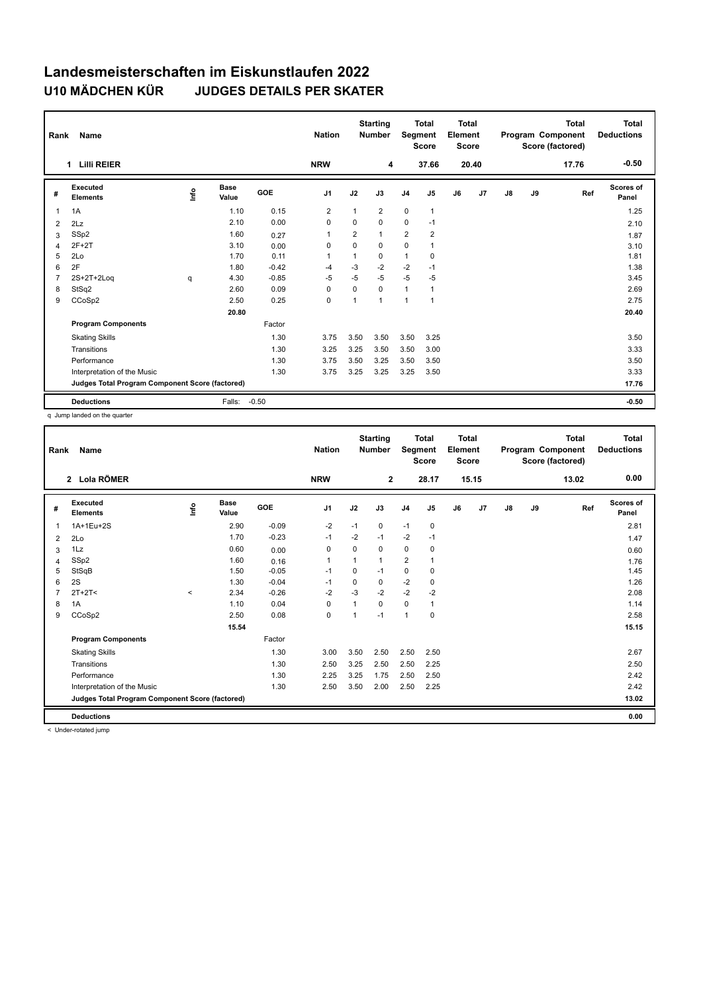## **Landesmeisterschaften im Eiskunstlaufen 2022 U10 MÄDCHEN KÜR JUDGES DETAILS PER SKATER**

|                                                 | Name<br>Rank                      |      |                      |         | <b>Nation</b>  |                | <b>Starting</b><br><b>Number</b> | <b>Total</b><br>Segment<br><b>Score</b> |                | <b>Total</b><br>Element<br><b>Score</b> |       | <b>Total</b><br>Program Component<br>Score (factored) |       |       | <b>Total</b><br><b>Deductions</b> |
|-------------------------------------------------|-----------------------------------|------|----------------------|---------|----------------|----------------|----------------------------------|-----------------------------------------|----------------|-----------------------------------------|-------|-------------------------------------------------------|-------|-------|-----------------------------------|
|                                                 | <b>Lilli REIER</b><br>$\mathbf 1$ |      |                      |         | <b>NRW</b>     |                | 4                                |                                         | 37.66          |                                         | 20.40 |                                                       |       | 17.76 | $-0.50$                           |
| #                                               | Executed<br><b>Elements</b>       | ١nf٥ | <b>Base</b><br>Value | GOE     | J <sub>1</sub> | J2             | J3                               | J <sub>4</sub>                          | J5             | J6                                      | J7    | $\mathsf{J}8$                                         | J9    | Ref   | <b>Scores of</b><br>Panel         |
| 1                                               | 1A                                |      | 1.10                 | 0.15    | $\overline{2}$ | 1              | $\overline{2}$                   | $\mathbf 0$                             | $\mathbf{1}$   |                                         |       |                                                       |       |       | 1.25                              |
| 2                                               | 2Lz                               |      | 2.10                 | 0.00    | $\mathbf 0$    | 0              | 0                                | $\mathbf 0$                             | $-1$           |                                         |       |                                                       |       |       | 2.10                              |
| 3                                               | SSp2                              |      | 1.60                 | 0.27    | $\overline{1}$ | $\overline{2}$ | 1                                | $\overline{2}$                          | $\overline{2}$ |                                         |       |                                                       |       |       | 1.87                              |
| $\overline{4}$                                  | $2F+2T$                           |      | 3.10                 | 0.00    | 0              | 0              | 0                                | $\mathbf 0$                             | $\mathbf{1}$   |                                         |       |                                                       |       |       | 3.10                              |
| 5                                               | 2Lo                               |      | 1.70                 | 0.11    |                | 1              | 0                                | $\mathbf{1}$                            | 0              |                                         |       |                                                       |       |       | 1.81                              |
| 6                                               | 2F                                |      | 1.80                 | $-0.42$ | -4             | $-3$           | $-2$                             | $-2$                                    | $-1$           |                                         |       |                                                       |       |       | 1.38                              |
| 7                                               | $2S+2T+2Log$                      | q    | 4.30                 | $-0.85$ | $-5$           | $-5$           | $-5$                             | $-5$                                    | -5             |                                         |       |                                                       |       |       | 3.45                              |
| 8                                               | StSq2                             |      | 2.60                 | 0.09    | $\Omega$       | $\Omega$       | $\Omega$                         | $\mathbf{1}$                            | 1              |                                         |       |                                                       |       |       | 2.69                              |
| 9                                               | CCoSp2                            |      | 2.50                 | 0.25    | $\mathbf 0$    | 1              | 1                                | $\overline{1}$                          | 1              |                                         |       |                                                       |       |       | 2.75                              |
|                                                 |                                   |      | 20.80                |         |                |                |                                  |                                         |                |                                         |       |                                                       |       |       | 20.40                             |
|                                                 | <b>Program Components</b>         |      |                      | Factor  |                |                |                                  |                                         |                |                                         |       |                                                       |       |       |                                   |
|                                                 | <b>Skating Skills</b>             |      |                      | 1.30    | 3.75           | 3.50           | 3.50                             | 3.50                                    | 3.25           |                                         |       |                                                       |       |       | 3.50                              |
|                                                 | Transitions                       |      |                      | 1.30    | 3.25           | 3.25           | 3.50                             | 3.50                                    | 3.00           |                                         |       |                                                       |       |       | 3.33                              |
|                                                 | Performance                       |      |                      | 1.30    | 3.75           | 3.50           | 3.25                             | 3.50                                    | 3.50           |                                         |       |                                                       |       |       | 3.50                              |
|                                                 | Interpretation of the Music       |      |                      | 1.30    | 3.75           | 3.25           | 3.25                             | 3.25                                    | 3.50           |                                         |       |                                                       |       |       | 3.33                              |
| Judges Total Program Component Score (factored) |                                   |      |                      |         |                |                |                                  |                                         |                |                                         |       |                                                       | 17.76 |       |                                   |
|                                                 | <b>Deductions</b>                 |      | Falls:               | $-0.50$ |                |                |                                  |                                         |                |                                         |       |                                                       |       |       | $-0.50$                           |

q Jump landed on the quarter

| Rank | <b>Name</b>                                     |         |                      |         | <b>Nation</b> |          | <b>Starting</b><br><b>Number</b> | Segment        | <b>Total</b><br>Score | <b>Total</b><br>Element<br><b>Score</b> |       |               |    | <b>Total</b><br>Program Component<br>Score (factored) | <b>Total</b><br><b>Deductions</b> |
|------|-------------------------------------------------|---------|----------------------|---------|---------------|----------|----------------------------------|----------------|-----------------------|-----------------------------------------|-------|---------------|----|-------------------------------------------------------|-----------------------------------|
|      | 2 Lola RÖMER                                    |         |                      |         | <b>NRW</b>    |          | $\overline{2}$                   |                | 28.17                 |                                         | 15.15 |               |    | 13.02                                                 | 0.00                              |
| #    | Executed<br><b>Elements</b>                     | lnfo    | <b>Base</b><br>Value | GOE     | J1            | J2       | J3                               | J <sub>4</sub> | J5                    | J6                                      | J7    | $\mathsf{J}8$ | J9 | Ref                                                   | Scores of<br>Panel                |
| 1    | 1A+1Eu+2S                                       |         | 2.90                 | $-0.09$ | $-2$          | $-1$     | 0                                | $-1$           | $\mathbf 0$           |                                         |       |               |    |                                                       | 2.81                              |
| 2    | 2Lo                                             |         | 1.70                 | $-0.23$ | $-1$          | $-2$     | $-1$                             | $-2$           | $-1$                  |                                         |       |               |    |                                                       | 1.47                              |
| 3    | 1Lz                                             |         | 0.60                 | 0.00    | 0             | $\Omega$ | 0                                | $\mathbf 0$    | 0                     |                                         |       |               |    |                                                       | 0.60                              |
| 4    | SSp2                                            |         | 1.60                 | 0.16    | $\mathbf{1}$  |          | 1                                | $\overline{2}$ | $\mathbf{1}$          |                                         |       |               |    |                                                       | 1.76                              |
| 5    | StSqB                                           |         | 1.50                 | $-0.05$ | $-1$          | 0        | $-1$                             | $\mathbf 0$    | 0                     |                                         |       |               |    |                                                       | 1.45                              |
| 6    | 2S                                              |         | 1.30                 | $-0.04$ | $-1$          | 0        | 0                                | $-2$           | 0                     |                                         |       |               |    |                                                       | 1.26                              |
|      | $2T+2T<$                                        | $\prec$ | 2.34                 | $-0.26$ | $-2$          | $-3$     | $-2$                             | $-2$           | $-2$                  |                                         |       |               |    |                                                       | 2.08                              |
| 8    | 1A                                              |         | 1.10                 | 0.04    | $\mathbf 0$   |          | $\Omega$                         | $\mathbf 0$    | $\mathbf{1}$          |                                         |       |               |    |                                                       | 1.14                              |
| 9    | CCoSp2                                          |         | 2.50                 | 0.08    | $\mathbf 0$   |          | $-1$                             | $\overline{1}$ | 0                     |                                         |       |               |    |                                                       | 2.58                              |
|      |                                                 |         | 15.54                |         |               |          |                                  |                |                       |                                         |       |               |    |                                                       | 15.15                             |
|      | <b>Program Components</b>                       |         |                      | Factor  |               |          |                                  |                |                       |                                         |       |               |    |                                                       |                                   |
|      | <b>Skating Skills</b>                           |         |                      | 1.30    | 3.00          | 3.50     | 2.50                             | 2.50           | 2.50                  |                                         |       |               |    |                                                       | 2.67                              |
|      | Transitions                                     |         |                      | 1.30    | 2.50          | 3.25     | 2.50                             | 2.50           | 2.25                  |                                         |       |               |    |                                                       | 2.50                              |
|      | Performance                                     |         |                      | 1.30    | 2.25          | 3.25     | 1.75                             | 2.50           | 2.50                  |                                         |       |               |    |                                                       | 2.42                              |
|      | Interpretation of the Music                     |         |                      | 1.30    | 2.50          | 3.50     | 2.00                             | 2.50           | 2.25                  |                                         |       |               |    |                                                       | 2.42                              |
|      | Judges Total Program Component Score (factored) |         |                      |         |               |          |                                  |                |                       |                                         |       |               |    |                                                       | 13.02                             |
|      | <b>Deductions</b>                               |         |                      |         |               |          |                                  |                |                       |                                         |       |               |    |                                                       | 0.00                              |

< Under-rotated jump